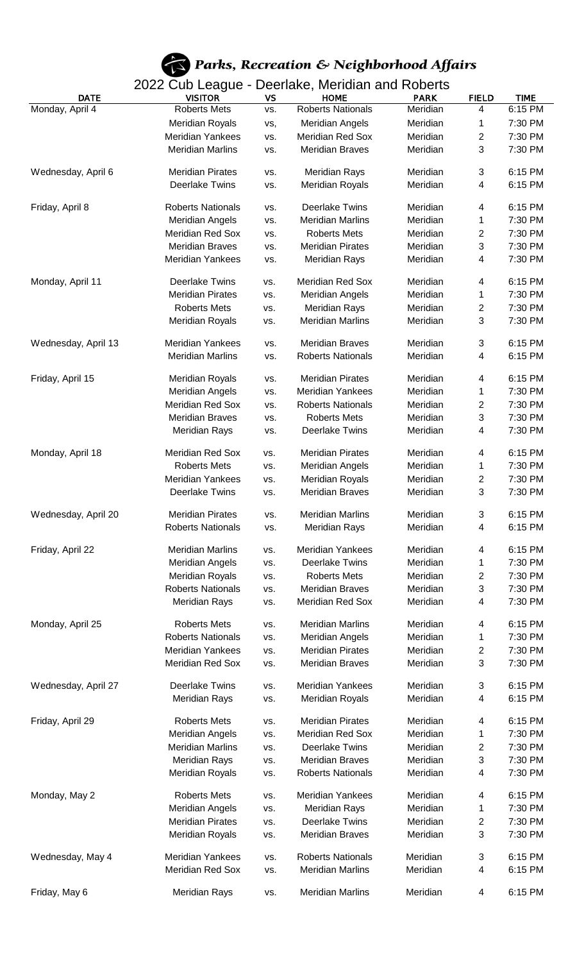

| <b>DATE</b>         | oan Lougae<br><b>VISITOR</b> | <b>VS</b> | <b>HOME</b>              | <b>PARK</b> | <b>FIELD</b> | <b>TIME</b> |
|---------------------|------------------------------|-----------|--------------------------|-------------|--------------|-------------|
| Monday, April 4     | <b>Roberts Mets</b>          | VS.       | <b>Roberts Nationals</b> | Meridian    | 4            | $6:15$ PM   |
|                     | <b>Meridian Royals</b>       | vs,       | <b>Meridian Angels</b>   | Meridian    | 1            | 7:30 PM     |
|                     | <b>Meridian Yankees</b>      | VS.       | <b>Meridian Red Sox</b>  | Meridian    | $\mathbf{2}$ | 7:30 PM     |
|                     | <b>Meridian Marlins</b>      | VS.       | <b>Meridian Braves</b>   | Meridian    | 3            | 7:30 PM     |
|                     |                              |           |                          |             |              |             |
| Wednesday, April 6  | <b>Meridian Pirates</b>      | VS.       | <b>Meridian Rays</b>     | Meridian    | 3            | 6:15 PM     |
|                     | <b>Deerlake Twins</b>        | VS.       | <b>Meridian Royals</b>   | Meridian    | 4            | 6:15 PM     |
|                     |                              |           |                          |             |              |             |
| Friday, April 8     | <b>Roberts Nationals</b>     | VS.       | <b>Deerlake Twins</b>    | Meridian    | 4            | 6:15 PM     |
|                     | <b>Meridian Angels</b>       | VS.       | <b>Meridian Marlins</b>  | Meridian    | 1            | 7:30 PM     |
|                     | <b>Meridian Red Sox</b>      | VS.       | <b>Roberts Mets</b>      | Meridian    | 2            | 7:30 PM     |
|                     | <b>Meridian Braves</b>       | VS.       | <b>Meridian Pirates</b>  | Meridian    | 3            | 7:30 PM     |
|                     | <b>Meridian Yankees</b>      | VS.       | <b>Meridian Rays</b>     | Meridian    | 4            | 7:30 PM     |
|                     |                              |           |                          |             |              |             |
| Monday, April 11    | <b>Deerlake Twins</b>        | VS.       | <b>Meridian Red Sox</b>  | Meridian    | 4            | 6:15 PM     |
|                     | <b>Meridian Pirates</b>      | VS.       | <b>Meridian Angels</b>   | Meridian    | 1            | 7:30 PM     |
|                     | <b>Roberts Mets</b>          | VS.       | <b>Meridian Rays</b>     | Meridian    | 2            | 7:30 PM     |
|                     | <b>Meridian Royals</b>       | VS.       | <b>Meridian Marlins</b>  | Meridian    | 3            | 7:30 PM     |
|                     |                              |           |                          |             |              |             |
| Wednesday, April 13 | <b>Meridian Yankees</b>      | VS.       | <b>Meridian Braves</b>   | Meridian    | 3            | 6:15 PM     |
|                     | <b>Meridian Marlins</b>      | VS.       | <b>Roberts Nationals</b> | Meridian    | 4            | 6:15 PM     |
| Friday, April 15    | <b>Meridian Royals</b>       | VS.       | <b>Meridian Pirates</b>  | Meridian    | 4            | 6:15 PM     |
|                     | <b>Meridian Angels</b>       | VS.       | <b>Meridian Yankees</b>  | Meridian    | 1            | 7:30 PM     |
|                     | Meridian Red Sox             | VS.       | <b>Roberts Nationals</b> | Meridian    | 2            | 7:30 PM     |
|                     | <b>Meridian Braves</b>       |           | <b>Roberts Mets</b>      | Meridian    | 3            | 7:30 PM     |
|                     | <b>Meridian Rays</b>         | VS.       | <b>Deerlake Twins</b>    | Meridian    | 4            | 7:30 PM     |
|                     |                              | VS.       |                          |             |              |             |
| Monday, April 18    | <b>Meridian Red Sox</b>      | VS.       | <b>Meridian Pirates</b>  | Meridian    | 4            | 6:15 PM     |
|                     | <b>Roberts Mets</b>          | VS.       | <b>Meridian Angels</b>   | Meridian    | 1            | 7:30 PM     |
|                     | Meridian Yankees             | VS.       | <b>Meridian Royals</b>   | Meridian    | 2            | 7:30 PM     |
|                     | <b>Deerlake Twins</b>        | VS.       | <b>Meridian Braves</b>   | Meridian    | 3            | 7:30 PM     |
|                     |                              |           |                          |             |              |             |
| Wednesday, April 20 | Meridian Pirates             | VS.       | Meridian Marlins         | Meridian    | 3            | 6:15 PM     |
|                     | <b>Roberts Nationals</b>     | VS.       | <b>Meridian Rays</b>     | Meridian    | 4            | 6:15 PM     |
|                     |                              |           |                          |             |              |             |
| Friday, April 22    | <b>Meridian Marlins</b>      | VS.       | <b>Meridian Yankees</b>  | Meridian    | 4            | 6:15 PM     |
|                     | <b>Meridian Angels</b>       | VS.       | <b>Deerlake Twins</b>    | Meridian    | 1            | 7:30 PM     |
|                     | <b>Meridian Royals</b>       | VS.       | <b>Roberts Mets</b>      | Meridian    | 2            | 7:30 PM     |
|                     | <b>Roberts Nationals</b>     | VS.       | <b>Meridian Braves</b>   | Meridian    | 3            | 7:30 PM     |
|                     | <b>Meridian Rays</b>         | VS.       | Meridian Red Sox         | Meridian    | 4            | 7:30 PM     |
|                     |                              |           |                          |             |              |             |
| Monday, April 25    | <b>Roberts Mets</b>          | VS.       | <b>Meridian Marlins</b>  | Meridian    | 4            | 6:15 PM     |
|                     | <b>Roberts Nationals</b>     | VS.       | <b>Meridian Angels</b>   | Meridian    | 1            | 7:30 PM     |
|                     | Meridian Yankees             | VS.       | <b>Meridian Pirates</b>  | Meridian    | 2            | 7:30 PM     |
|                     | Meridian Red Sox             | VS.       | <b>Meridian Braves</b>   | Meridian    | 3            | 7:30 PM     |
|                     | <b>Deerlake Twins</b>        | VS.       | <b>Meridian Yankees</b>  | Meridian    | 3            | 6:15 PM     |
| Wednesday, April 27 | <b>Meridian Rays</b>         |           | <b>Meridian Royals</b>   | Meridian    | 4            | 6:15 PM     |
|                     |                              | VS.       |                          |             |              |             |
| Friday, April 29    | <b>Roberts Mets</b>          | VS.       | <b>Meridian Pirates</b>  | Meridian    | 4            | 6:15 PM     |
|                     | <b>Meridian Angels</b>       | VS.       | Meridian Red Sox         | Meridian    | 1            | 7:30 PM     |
|                     | <b>Meridian Marlins</b>      | VS.       | <b>Deerlake Twins</b>    | Meridian    | 2            | 7:30 PM     |
|                     | <b>Meridian Rays</b>         | VS.       | <b>Meridian Braves</b>   | Meridian    | 3            | 7:30 PM     |
|                     | <b>Meridian Royals</b>       | VS.       | <b>Roberts Nationals</b> | Meridian    | 4            | 7:30 PM     |
|                     |                              |           |                          |             |              |             |
| Monday, May 2       | <b>Roberts Mets</b>          | VS.       | Meridian Yankees         | Meridian    | 4            | 6:15 PM     |
|                     | <b>Meridian Angels</b>       | VS.       | <b>Meridian Rays</b>     | Meridian    | 1            | 7:30 PM     |
|                     | <b>Meridian Pirates</b>      | VS.       | <b>Deerlake Twins</b>    | Meridian    | 2            | 7:30 PM     |
|                     | <b>Meridian Royals</b>       | VS.       | <b>Meridian Braves</b>   | Meridian    | 3            | 7:30 PM     |
|                     |                              |           |                          |             |              |             |
| Wednesday, May 4    | <b>Meridian Yankees</b>      | VS.       | <b>Roberts Nationals</b> | Meridian    | 3            | 6:15 PM     |
|                     | Meridian Red Sox             | VS.       | <b>Meridian Marlins</b>  | Meridian    | 4            | 6:15 PM     |
|                     |                              |           |                          |             |              |             |
| Friday, May 6       | <b>Meridian Rays</b>         | VS.       | <b>Meridian Marlins</b>  | Meridian    | 4            | 6:15 PM     |